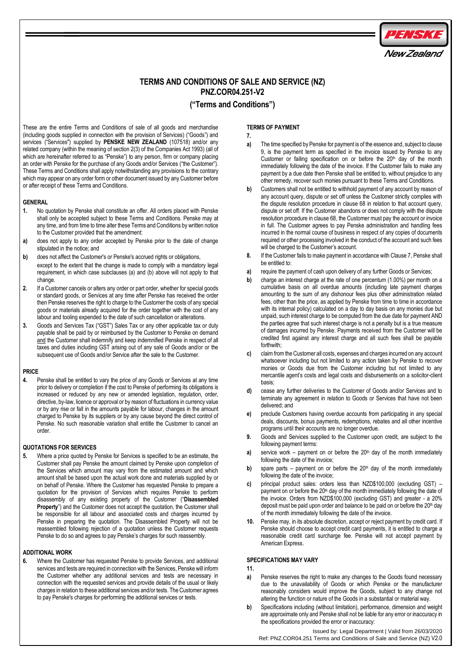

# **TERMS AND CONDITIONS OF SALE AND SERVICE (NZ) PNZ.COR04.251-V2**

## **("Terms and Conditions")**

These are the entire Terms and Conditions of sale of all goods and merchandise (including goods supplied in connection with the provision of Services) ("Goods") and services ("Services") supplied by **PENSKE NEW ZEALAND** (107518) and/or any related company (within the meaning of section 2(3) of the Companies Act 1993) (all of which are hereinafter referred to as "Penske") to any person, firm or company placing an order with Penske for the purchase of any Goods and/or Services ("the Customer"). These Terms and Conditions shall apply notwithstanding any provisions to the contrary which may appear on any order form or other document issued by any Customer before or after receipt of these Terms and Conditions.

## **GENERAL**

- **1.** No quotation by Penske shall constitute an offer. All orders placed with Penske shall only be accepted subject to these Terms and Conditions. Penske may at any time, and from time to time alter these Terms and Conditions by written notice to the Customer provided that the amendment:
- **a)** does not apply to any order accepted by Penske prior to the date of change stipulated in the notice; and
- **b)** does not affect the Customer's or Penske's accrued rights or obligations, except to the extent that the change is made to comply with a mandatory legal requirement, in which case subclauses (a) and (b) above will not apply to that change.
- **2.** If a Customer cancels or alters any order or part order, whether for special goods or standard goods, or Services at any time after Penske has received the order then Penske reserves the right to charge to the Customer the costs of any special goods or materials already acquired for the order together with the cost of any labour and tooling expended to the date of such cancellation or alterations.
- **3.** Goods and Services Tax ("GST") Sales Tax or any other applicable tax or duty payable shall be paid by or reimbursed by the Customer to Penske on demand and the Customer shall indemnify and keep indemnified Penske in respect of all taxes and duties including GST arising out of any sale of Goods and/or or the subsequent use of Goods and/or Service after the sale to the Customer.

### **PRICE**

**4.** Penske shall be entitled to vary the price of any Goods or Services at any time prior to delivery or completion if the cost to Penske of performing its obligations is increased or reduced by any new or amended legislation, regulation, order, directive, by-law, licence or approval or by reason of fluctuations in currency value or by any rise or fall in the amounts payable for labour, changes in the amount charged to Penske by its suppliers or by any cause beyond the direct control of Penske. No such reasonable variation shall entitle the Customer to cancel an order.

## **QUOTATIONS FOR SERVICES**

**5.** Where a price quoted by Penske for Services is specified to be an estimate, the Customer shall pay Penske the amount claimed by Penske upon completion of the Services which amount may vary from the estimated amount and which amount shall be based upon the actual work done and materials supplied by or on behalf of Penske. Where the Customer has requested Penske to prepare a quotation for the provision of Services which requires Penske to perform disassembly of any existing property of the Customer ("**Disassembled Property**") and the Customer does not accept the quotation, the Customer shall be responsible for all labour and associated costs and charges incurred by Penske in preparing the quotation. The Disassembled Property will not be reassembled following rejection of a quotation unless the Customer requests Penske to do so and agrees to pay Penske's charges for such reassembly.

## **ADDITIONAL WORK**

**6.** Where the Customer has requested Penske to provide Services, and additional services and tests are required in connection with the Services, Penske will inform the Customer whether any additional services and tests are necessary in connection with the requested services and provide details of the usual or likely charges in relation to these additional services and/or tests. The Customer agrees to pay Penske's charges for performing the additional services or tests.

## **TERMS OF PAYMENT**

**7.**

- **a)** The time specified by Penske for payment is of the essence and, subject to clause 9, is the payment term as specified in the invoice issued by Penske to any Customer or failing specification on or before the 20th day of the month immediately following the date of the invoice. If the Customer fails to make any payment by a due date then Penske shall be entitled to, without prejudice to any other remedy, recover such monies pursuant to these Terms and Conditions.
- **b)** Customers shall not be entitled to withhold payment of any account by reason of any account query, dispute or set off unless the Customer strictly complies with the dispute resolution procedure in clause 68 in relation to that account query, dispute or set off. If the Customer abandons or does not comply with the dispute resolution procedure in clause 68, the Customer must pay the account or invoice in full. The Customer agrees to pay Penske administration and handling fees incurred in the normal course of business in respect of any copies of documents required or other processing involved in the conduct of the account and such fees will be charged to the Customer's account.
- **8.** If the Customer fails to make payment in accordance with Clause 7, Penske shall be entitled to:
- **a)** require the payment of cash upon delivery of any further Goods or Services;
- **b)** charge an interest charge at the rate of one percentum (1.00%) per month on a cumulative basis on all overdue amounts (including late payment charges amounting to the sum of any dishonour fees plus other administration related fees, other than the price, as applied by Penske from time to time in accordance with its internal policy) calculated on a day to day basis on any monies due but unpaid, such interest charge to be computed from the due date for payment AND the parties agree that such interest charge is not a penalty but is a true measure of damages incurred by Penske. Payments received from the Customer will be credited first against any interest charge and all such fees shall be payable forthwith;
- **c)** claim from the Customer all costs, expenses and charges incurred on any account whatsoever including but not limited to any action taken by Penske to recover monies or Goods due from the Customer including but not limited to any mercantile agent's costs and legal costs and disbursements on a solicitor-client basis;
- **d)** cease any further deliveries to the Customer of Goods and/or Services and to terminate any agreement in relation to Goods or Services that have not been delivered; and
- **e)** preclude Customers having overdue accounts from participating in any special deals, discounts, bonus payments, redemptions, rebates and all other incentive programs until their accounts are no longer overdue.
- **9.** Goods and Services supplied to the Customer upon credit, are subject to the following payment terms:
- **a)** service work payment on or before the  $20<sup>th</sup>$  day of the month immediately following the date of the invoice;
- **b)** spare parts payment on or before the  $20<sup>th</sup>$  day of the month immediately following the date of the invoice;
- **c)** principal product sales: orders less than NZD\$100,000 (excluding GST) payment on or before the 20<sup>th</sup> day of the month immediately following the date of the invoice. Orders from NZD\$100,000 (excluding GST) and greater - a 20% deposit must be paid upon order and balance to be paid on or before the  $20<sup>th</sup>$  day of the month immediately following the date of the invoice.
- **10.** Penske may, in its absolute discretion, accept or reject payment by credit card. If Penske should choose to accept credit card payments, it is entitled to charge a reasonable credit card surcharge fee. Penske will not accept payment by American Express.

## **SPECIFICATIONS MAY VARY**

**11.**

- **a)** Penske reserves the right to make any changes to the Goods found necessary due to the unavailability of Goods or which Penske or the manufacturer reasonably considers would improve the Goods, subject to any change not altering the function or nature of the Goods in a substantial or material way.
- **b)** Specifications including (without limitation), performance, dimension and weight are approximate only and Penske shall not be liable for any error or inaccuracy in the specifications provided the error or inaccuracy:

Issued by: Legal Department | Valid from 26/03/2020 Ref: PNZ.COR04.251 Terms and Conditions of Sale and Service (NZ) V2.0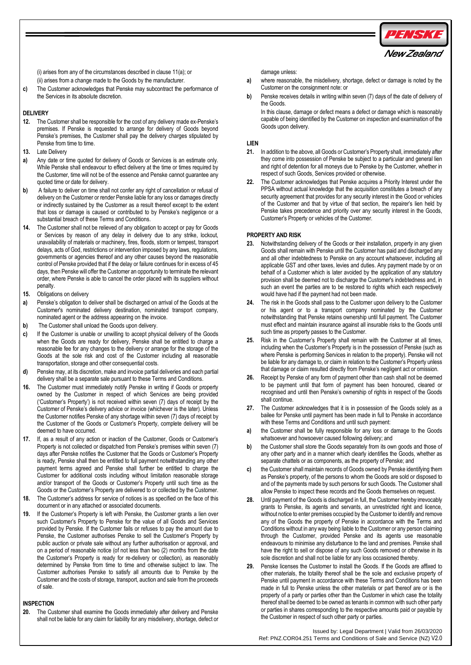

New Zealand

(i) arises from any of the circumstances described in clause 11(a); or (ii) arises from a change made to the Goods by the manufacturer.

**c)** The Customer acknowledges that Penske may subcontract the performance of the Services in its absolute discretion.

### **DELIVERY**

- **12.** The Customer shall be responsible for the cost of any delivery made ex-Penske's premises. If Penske is requested to arrange for delivery of Goods beyond Penske's premises, the Customer shall pay the delivery charges stipulated by Penske from time to time.
- **13.** Late Delivery
- **a)** Any date or time quoted for delivery of Goods or Services is an estimate only. While Penske shall endeavour to effect delivery at the time or times required by the Customer, time will not be of the essence and Penske cannot guarantee any quoted time or date for delivery.
- **b)** A failure to deliver on time shall not confer any right of cancellation or refusal of delivery on the Customer or render Penske liable for any loss or damages directly or indirectly sustained by the Customer as a result thereof except to the extent that loss or damage is caused or contributed to by Penske's negligence or a substantial breach of these Terms and Conditions.
- **14.** The Customer shall not be relieved of any obligation to accept or pay for Goods or Services by reason of any delay in delivery due to any strike, lockout, unavailability of materials or machinery, fires, floods, storm or tempest, transport delays, acts of God, restrictions or intervention imposed by any laws, regulations, governments or agencies thereof and any other causes beyond the reasonable control of Penske provided that if the delay or failure continues for in excess of 45 days, then Penske will offer the Customer an opportunity to terminate the relevant order, where Penske is able to cancel the order placed with its suppliers without penalty.
- **15.** Obligations on delivery
- **a)** Penske's obligation to deliver shall be discharged on arrival of the Goods at the Customer's nominated delivery destination, nominated transport company, nominated agent or the address appearing on the invoice.
- **b)** The Customer shall unload the Goods upon delivery.
- **c)** If the Customer is unable or unwilling to accept physical delivery of the Goods when the Goods are ready for delivery, Penske shall be entitled to charge a reasonable fee for any changes to the delivery or arrange for the storage of the Goods at the sole risk and cost of the Customer including all reasonable transportation, storage and other consequential costs.
- **d)** Penske may, at its discretion, make and invoice partial deliveries and each partial delivery shall be a separate sale pursuant to these Terms and Conditions.
- **16.** The Customer must immediately notify Penske in writing if Goods or property owned by the Customer in respect of which Services are being provided ('Customer's Property') is not received within seven (7) days of receipt by the Customer of Penske's delivery advice or invoice (whichever is the later). Unless the Customer notifies Penske of any shortage within seven (7) days of receipt by the Customer of the Goods or Customer's Property, complete delivery will be deemed to have occurred.
- **17.** If, as a result of any action or inaction of the Customer, Goods or Customer's Property is not collected or dispatched from Penske's premises within seven (7) days after Penske notifies the Customer that the Goods or Customer's Property is ready, Penske shall then be entitled to full payment notwithstanding any other payment terms agreed and Penske shall further be entitled to charge the Customer for additional costs including without limitation reasonable storage and/or transport of the Goods or Customer's Property until such time as the Goods or the Customer's Property are delivered to or collected by the Customer.
- **18.** The Customer's address for service of notices is as specified on the face of this document or in any attached or associated documents.
- **19.** If the Customer's Property is left with Penske, the Customer grants a lien over such Customer's Property to Penske for the value of all Goods and Services provided by Penske. If the Customer fails or refuses to pay the amount due to Penske, the Customer authorises Penske to sell the Customer's Property by public auction or private sale without any further authorisation or approval, and on a period of reasonable notice (of not less than two (2) months from the date the Customer's Property is ready for re-delivery or collection), as reasonably determined by Penske from time to time and otherwise subject to law. The Customer authorises Penske to satisfy all amounts due to Penske by the Customer and the costs of storage, transport, auction and sale from the proceeds of sale.

### **INSPECTION**

**20.** The Customer shall examine the Goods immediately after delivery and Penske shall not be liable for any claim for liability for any misdelivery, shortage, defect or damage unless:

- **a)** where reasonable, the misdelivery, shortage, defect or damage is noted by the Customer on the consignment note: or
- **b)** Penske receives details in writing within seven (7) days of the date of delivery of the Goods.

In this clause, damage or defect means a defect or damage which is reasonably capable of being identified by the Customer on inspection and examination of the Goods upon delivery.

### **LIEN**

- **21.** In addition to the above, all Goods or Customer's Property shall, immediately after they come into possession of Penske be subject to a particular and general lien and right of detention for all moneys due to Penske by the Customer, whether in respect of such Goods, Services provided or otherwise.
- **22.** The Customer acknowledges that Penske acquires a Priority Interest under the PPSA without actual knowledge that the acquisition constitutes a breach of any security agreement that provides for any security interest in the Good or vehicles of the Customer and that by virtue of that section, the repairer's lien held by Penske takes precedence and priority over any security interest in the Goods, Customer's Property or vehicles of the Customer.

## **PROPERTY AND RISK**

- **23.** Notwithstanding delivery of the Goods or their installation, property in any given Goods shall remain with Penske until the Customer has paid and discharged any and all other indebtedness to Penske on any account whatsoever, including all applicable GST and other taxes, levies and duties. Any payment made by or on behalf of a Customer which is later avoided by the application of any statutory provision shall be deemed not to discharge the Customer's indebtedness and, in such an event the parties are to be restored to rights which each respectively would have had if the payment had not been made.
- **24.** The risk in the Goods shall pass to the Customer upon delivery to the Customer or his agent or to a transport company nominated by the Customer notwithstanding that Penske retains ownership until full payment. The Customer must effect and maintain insurance against all insurable risks to the Goods until such time as property passes to the Customer.
- **25.** Risk in the Customer's Property shall remain with the Customer at all times, including when the Customer's Property is in the possession of Penske (such as where Penske is performing Services in relation to the property). Penske will not be liable for any damage to, or claim in relation to the Customer's Property unless that damage or claim resulted directly from Penske's negligent act or omission.
- **26.** Receipt by Penske of any form of payment other than cash shall not be deemed to be payment until that form of payment has been honoured, cleared or recognised and until then Penske's ownership of rights in respect of the Goods shall continue.
- **27.** The Customer acknowledges that it is in possession of the Goods solely as a bailee for Penske until payment has been made in full to Penske in accordance with these Terms and Conditions and until such payment:
- **a)** the Customer shall be fully responsible for any loss or damage to the Goods whatsoever and howsoever caused following delivery; and
- **b)** the Customer shall store the Goods separately from its own goods and those of any other party and in a manner which clearly identifies the Goods, whether as separate chattels or as components, as the property of Penske; and
- **c)** the Customer shall maintain records of Goods owned by Penske identifying them as Penske's property, of the persons to whom the Goods are sold or disposed to and of the payments made by such persons for such Goods. The Customer shall allow Penske to inspect these records and the Goods themselves on request.
- **28.** Until payment of the Goods is discharged in full, the Customer hereby irrevocably grants to Penske, its agents and servants, an unrestricted right and licence, without notice to enter premises occupied by the Customer to identify and remove any of the Goods the property of Penske in accordance with the Terms and Conditions without in any way being liable to the Customer or any person claiming through the Customer, provided Penske and its agents use reasonable endeavours to minimise any disturbance to the land and premises. Penske shall have the right to sell or dispose of any such Goods removed or otherwise in its sole discretion and shall not be liable for any loss occasioned thereby.
- **29.** Penske licenses the Customer to install the Goods. If the Goods are affixed to other materials, the totality thereof shall be the sole and exclusive property of Penske until payment in accordance with these Terms and Conditions has been made in full to Penske unless the other materials or part thereof are or is the property of a party or parties other than the Customer in which case the totality thereof shall be deemed to be owned as tenants in common with such other party or parties in shares corresponding to the respective amounts paid or payable by the Customer in respect of such other party or parties.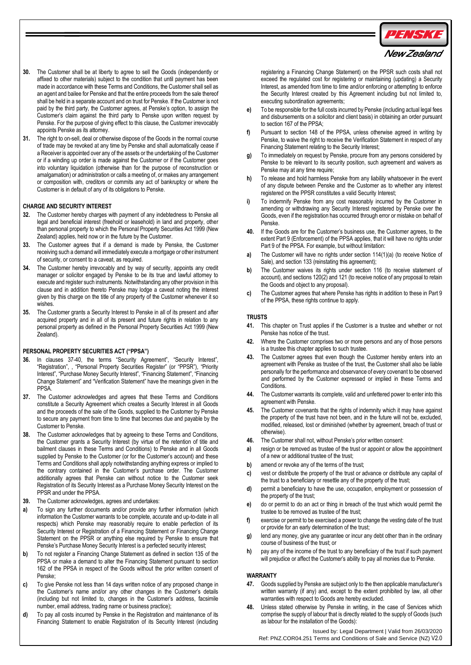

## New Zealand

- **30.** The Customer shall be at liberty to agree to sell the Goods (independently or affixed to other materials) subject to the condition that until payment has been made in accordance with these Terms and Conditions, the Customer shall sell as an agent and bailee for Penske and that the entire proceeds from the sale thereof shall be held in a separate account and on trust for Penske. If the Customer is not paid by the third party, the Customer agrees, at Penske's option, to assign the Customer's claim against the third party to Penske upon written request by Penske. For the purpose of giving effect to this clause, the Customer irrevocably appoints Penske as its attorney.
- **31.** The right to on-sell, deal or otherwise dispose of the Goods in the normal course of trade may be revoked at any time by Penske and shall automatically cease if a Receiver is appointed over any of the assets or the undertaking of the Customer or if a winding up order is made against the Customer or if the Customer goes into voluntary liquidation (otherwise than for the purpose of reconstruction or amalgamation) or administration or calls a meeting of, or makes any arrangement or composition with, creditors or commits any act of bankruptcy or where the Customer is in default of any of its obligations to Penske.

### **CHARGE AND SECURITY INTEREST**

- **32.** The Customer hereby charges with payment of any indebtedness to Penske all legal and beneficial interest (freehold or leasehold) in land and property, other than personal property to which the Personal Property Securities Act 1999 (New Zealand) applies, held now or in the future by the Customer.
- **33.** The Customer agrees that if a demand is made by Penske, the Customer receiving such a demand will immediately execute a mortgage or other instrument of security, or consent to a caveat, as required.
- **34.** The Customer hereby irrevocably and by way of security, appoints any credit manager or solicitor engaged by Penske to be its true and lawful attorney to execute and register such instruments. Notwithstanding any other provision in this clause and in addition thereto Penske may lodge a caveat noting the interest given by this charge on the title of any property of the Customer whenever it so wishes.
- **35.** The Customer grants a Security Interest to Penske in all of its present and after acquired property and in all of its present and future rights in relation to any personal property as defined in the Personal Property Securities Act 1999 (New Zealand).

### **PERSONAL PROPERTY SECURITIES ACT ("PPSA")**

- **36.** In clauses 37-40, the terms "Security Agreement", "Security Interest", "Registration", , "Personal Property Securities Register" (or "PPSR"), "Priority Interest", "Purchase Money Security Interest", "Financing Statement", "Financing Change Statement" and "Verification Statement" have the meanings given in the PPSA.
- **37.** The Customer acknowledges and agrees that these Terms and Conditions constitute a Security Agreement which creates a Security Interest in all Goods and the proceeds of the sale of the Goods, supplied to the Customer by Penske to secure any payment from time to time that becomes due and payable by the Customer to Penske.
- **38.** The Customer acknowledges that by agreeing to these Terms and Conditions, the Customer grants a Security Interest (by virtue of the retention of title and bailment clauses in these Terms and Conditions) to Penske and in all Goods supplied by Penske to the Customer (or for the Customer's account) and these Terms and Conditions shall apply notwithstanding anything express or implied to the contrary contained in the Customer's purchase order. The Customer additionally agrees that Penske can without notice to the Customer seek Registration of its Security Interest as a Purchase Money Security Interest on the PPSR and under the PPSA.
- **39.** The Customer acknowledges, agrees and undertakes:
- **a)** To sign any further documents and/or provide any further information (which information the Customer warrants to be complete, accurate and up-to-date in all respects) which Penske may reasonably require to enable perfection of its Security Interest or Registration of a Financing Statement or Financing Change Statement on the PPSR or anything else required by Penske to ensure that Penske's Purchase Money Security Interest is a perfected security interest;
- **b)** To not register a Financing Change Statement as defined in section 135 of the PPSA or make a demand to alter the Financing Statement pursuant to section 162 of the PPSA in respect of the Goods without the prior written consent of Penske;
- **c)** To give Penske not less than 14 days written notice of any proposed change in the Customer's name and/or any other changes in the Customer's details (including but not limited to, changes in the Customer's address, facsimile number, email address, trading name or business practice);
- **d)** To pay all costs incurred by Penske in the Registration and maintenance of its Financing Statement to enable Registration of its Security Interest (including

registering a Financing Change Statement) on the PPSR such costs shall not exceed the regulated cost for registering or maintaining (updating) a Security Interest, as amended from time to time and/or enforcing or attempting to enforce the Security Interest created by this Agreement including but not limited to, executing subordination agreements;

- **e)** To be responsible for the full costs incurred by Penske (including actual legal fees and disbursements on a solicitor and client basis) in obtaining an order pursuant to section 167 of the PPSA;
- **f)** Pursuant to section 148 of the PPSA, unless otherwise agreed in writing by Penske, to waive the right to receive the Verification Statement in respect of any Financing Statement relating to the Security Interest;
- **g)** To immediately on request by Penske, procure from any persons considered by Penske to be relevant to its security position, such agreement and waivers as Penske may at any time require;
- **h)** To release and hold harmless Penske from any liability whatsoever in the event of any dispute between Penske and the Customer as to whether any interest registered on the PPSR constitutes a valid Security Interest;
- **i)** To indemnify Penske from any cost reasonably incurred by the Customer in amending or withdrawing any Security Interest registered by Penske over the Goods, even if the registration has occurred through error or mistake on behalf of Penske.
- **40.** If the Goods are for the Customer's business use, the Customer agrees, to the extent Part 9 (Enforcement) of the PPSA applies, that it will have no rights under Part 9 of the PPSA. For example, but without limitation:
- **a)** The Customer will have no rights under section 114(1)(a) (to receive Notice of Sale), and section 133 (reinstating this agreement);
- **b)** The Customer waives its rights under section 116 (to receive statement of account), and sections 120(2) and 121 (to receive notice of any proposal to retain the Goods and object to any proposal).
- **c)** The Customer agrees that where Penske has rights in addition to these in Part 9 of the PPSA, these rights continue to apply.

### **TRUSTS**

- **41.** This chapter on Trust applies if the Customer is a trustee and whether or not Penske has notice of the trust.
- **42.** Where the Customer comprises two or more persons and any of those persons is a trustee this chapter applies to such trustee.
- **43.** The Customer agrees that even though the Customer hereby enters into an agreement with Penske as trustee of the trust, the Customer shall also be liable personally for the performance and observance of every covenant to be observed and performed by the Customer expressed or implied in these Terms and **Conditions**
- **44.** The Customer warrants its complete, valid and unfettered power to enter into this agreement with Penske.
- **45.** The Customer covenants that the rights of indemnity which it may have against the property of the trust have not been, and in the future will not be, excluded, modified, released, lost or diminished (whether by agreement, breach of trust or otherwise).
- **46.** The Customer shall not, without Penske's prior written consent:
- **a)** resign or be removed as trustee of the trust or appoint or allow the appointment of a new or additional trustee of the trust;
- **b)** amend or revoke any of the terms of the trust;
- **c)** vest or distribute the property of the trust or advance or distribute any capital of the trust to a beneficiary or resettle any of the property of the trust;
- **d)** permit a beneficiary to have the use, occupation, employment or possession of the property of the trust;
- **e)** do or permit to do an act or thing in breach of the trust which would permit the trustee to be removed as trustee of the trust;
- **f)** exercise or permit to be exercised a power to change the vesting date of the trust or provide for an early determination of the trust;
- **g)** lend any money, give any guarantee or incur any debt other than in the ordinary course of business of the trust; or
- **h)** pay any of the income of the trust to any beneficiary of the trust if such payment will prejudice or affect the Customer's ability to pay all monies due to Penske.

## **WARRANTY**

- **47.** Goods supplied by Penske are subject only to the then applicable manufacturer's written warranty (if any) and, except to the extent prohibited by law, all other warranties with respect to Goods are hereby excluded.
- **48.** Unless stated otherwise by Penske in writing, in the case of Services which comprise the supply of labour that is directly related to the supply of Goods (such as labour for the installation of the Goods):

Issued by: Legal Department | Valid from 26/03/2020 Ref: PNZ.COR04.251 Terms and Conditions of Sale and Service (NZ) V2.0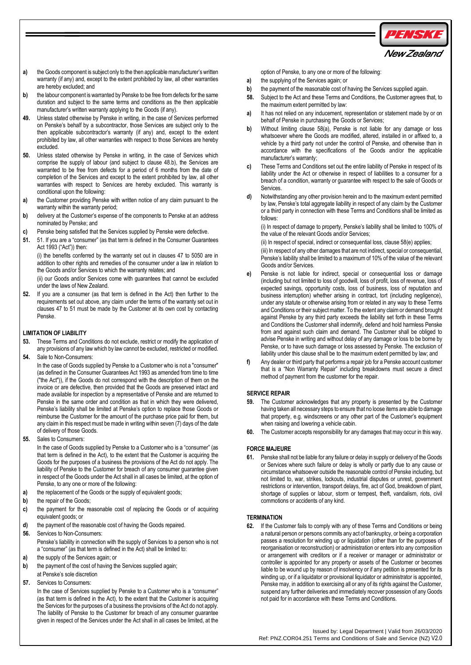

- **a)** the Goods component is subject only to the then applicable manufacturer's written warranty (if any) and, except to the extent prohibited by law, all other warranties are hereby excluded; and
- **b)** the labour component is warranted by Penske to be free from defects for the same duration and subject to the same terms and conditions as the then applicable manufacturer's written warranty applying to the Goods (if any).
- **49.** Unless stated otherwise by Penske in writing, in the case of Services performed on Penske's behalf by a subcontractor, those Services are subject only to the then applicable subcontractor's warranty (if any) and, except to the extent prohibited by law, all other warranties with respect to those Services are hereby excluded.
- **50.** Unless stated otherwise by Penske in writing, in the case of Services which comprise the supply of labour (and subject to clause 48.b), the Services are warranted to be free from defects for a period of 6 months from the date of completion of the Services and except to the extent prohibited by law, all other warranties with respect to Services are hereby excluded. This warranty is conditional upon the following:
- **a)** the Customer providing Penske with written notice of any claim pursuant to the warranty within the warranty period;
- **b)** delivery at the Customer's expense of the components to Penske at an address nominated by Penske; and
- **c)** Penske being satisfied that the Services supplied by Penske were defective.
- **51.** 51. If you are a "consumer" (as that term is defined in the Consumer Guarantees Act 1993 ("Act")) then:

(i) the benefits conferred by the warranty set out in clauses 47 to 5050 are in addition to other rights and remedies of the consumer under a law in relation to the Goods and/or Services to which the warranty relates; and

(ii) our Goods and/or Services come with guarantees that cannot be excluded under the laws of New Zealand.

**52.** If you are a consumer (as that term is defined in the Act) then further to the requirements set out above, any claim under the terms of the warranty set out in clauses 47 to 51 must be made by the Customer at its own cost by contacting Penske.

## **LIMITATION OF LIABILITY**

- **53.** These Terms and Conditions do not exclude, restrict or modify the application of any provisions of any law which by law cannot be excluded, restricted or modified.
- **54.** Sale to Non-Consumers:

In the case of Goods supplied by Penske to a Customer who is not a "consumer" (as defined in the Consumer Guarantees Act 1993 as amended from time to time ("the Act")), if the Goods do not correspond with the description of them on the invoice or are defective, then provided that the Goods are preserved intact and made available for inspection by a representative of Penske and are returned to Penske in the same order and condition as that in which they were delivered, Penske's liability shall be limited at Penske's option to replace those Goods or reimburse the Customer for the amount of the purchase price paid for them, but any claim in this respect must be made in writing within seven (7) days of the date of delivery of those Goods.

**55.** Sales to Consumers:

In the case of Goods supplied by Penske to a Customer who is a "consumer" (as that term is defined in the Act), to the extent that the Customer is acquiring the Goods for the purposes of a business the provisions of the Act do not apply. The liability of Penske to the Customer for breach of any consumer guarantee given in respect of the Goods under the Act shall in all cases be limited, at the option of Penske, to any one or more of the following:

- **a)** the replacement of the Goods or the supply of equivalent goods;
- **b)** the repair of the Goods;
- **c)** the payment for the reasonable cost of replacing the Goods or of acquiring equivalent goods; or
- **d)** the payment of the reasonable cost of having the Goods repaired.
- **56.** Services to Non-Consumers: Penske's liability in connection with the supply of Services to a person who is not a "consumer" (as that term is defined in the Act) shall be limited to:
- **a)** the supply of the Services again; or
- **b)** the payment of the cost of having the Services supplied again;
- at Penske's sole discretion **57.** Services to Consumers:

In the case of Services supplied by Penske to a Customer who is a "consumer" (as that term is defined in the Act), to the extent that the Customer is acquiring the Services for the purposes of a business the provisions of the Act do not apply. The liability of Penske to the Customer for breach of any consumer guarantee given in respect of the Services under the Act shall in all cases be limited, at the

option of Penske, to any one or more of the following:

- **a)** the supplying of the Services again; or
- **b)** the payment of the reasonable cost of having the Services supplied again.
- **58.** Subject to the Act and these Terms and Conditions, the Customer agrees that, to the maximum extent permitted by law:
- **a)** It has not relied on any inducement, representation or statement made by or on behalf of Penske in purchasing the Goods or Services;
- **b)** Without limiting clause 58(a), Penske is not liable for any damage or loss whatsoever where the Goods are modified, altered, installed in or affixed to, a vehicle by a third party not under the control of Penske, and otherwise than in accordance with the specifications of the Goods and/or the applicable manufacturer's warranty;
- **c)** These Terms and Conditions set out the entire liability of Penske in respect of its liability under the Act or otherwise in respect of liabilities to a consumer for a breach of a condition, warranty or guarantee with respect to the sale of Goods or **Services**
- **d)** Notwithstanding any other provision herein and to the maximum extent permitted by law, Penske's total aggregate liability in respect of any claim by the Customer or a third party in connection with these Terms and Conditions shall be limited as follows:

(i) In respect of damage to property, Penske's liability shall be limited to 100% of the value of the relevant Goods and/or Services;

(ii) In respect of special, indirect or consequential loss, clause 58(e) applies; (iii) In respect of any other damages that are not indirect, special or consequential, Penske's liability shall be limited to a maximum of 10% of the value of the relevant Goods and/or Services.

- **e)** Penske is not liable for indirect, special or consequential loss or damage (including but not limited to loss of goodwill, loss of profit, loss of revenue, loss of expected savings, opportunity costs, loss of business, loss of reputation and business interruption) whether arising in contract, tort (including negligence), under any statute or otherwise arising from or related in any way to these Terms and Conditions or their subject matter. To the extent any claim or demand brought against Penske by any third party exceeds the liability set forth in these Terms and Conditions the Customer shall indemnify, defend and hold harmless Penske from and against such claim and demand. The Customer shall be obliged to advise Penske in writing and without delay of any damage or loss to be borne by Penske, or to have such damage or loss assessed by Penske. The exclusion of liability under this clause shall be to the maximum extent permitted by law; and
- **f)** Any dealer or third party that performs a repair job for a Penske account customer that is a "Non Warranty Repair" including breakdowns must secure a direct method of payment from the customer for the repair.

## **SERVICE REPAIR**

- **59.** The Customer acknowledges that any property is presented by the Customer having taken all necessary steps to ensure that no loose items are able to damage that property, e.g. windscreens or any other part of the Customer's equipment when raising and lowering a vehicle cabin.
- **60.** The Customer accepts responsibility for any damages that may occur in this way.

## **FORCE MAJEURE**

**61.** Penske shall not be liable for any failure or delay in supply or delivery of the Goods or Services where such failure or delay is wholly or partly due to any cause or circumstance whatsoever outside the reasonable control of Penske including, but not limited to, war, strikes, lockouts, industrial disputes or unrest, government restrictions or intervention, transport delays, fire, act of God, breakdown of plant, shortage of supplies or labour, storm or tempest, theft, vandalism, riots, civil commotions or accidents of any kind.

## **TERMINATION**

**62.** If the Customer fails to comply with any of these Terms and Conditions or being a natural person or persons commits any act of bankruptcy, or being a corporation passes a resolution for winding up or liquidation (other than for the purposes of reorganisation or reconstruction) or administration or enters into any composition or arrangement with creditors or if a receiver or manager or administrator or controller is appointed for any property or assets of the Customer or becomes liable to be wound up by reason of insolvency or if any petition is presented for its winding up, or if a liquidator or provisional liquidator or administrator is appointed, Penske may, in addition to exercising all or any of its rights against the Customer, suspend any further deliveries and immediately recover possession of any Goods not paid for in accordance with these Terms and Conditions.